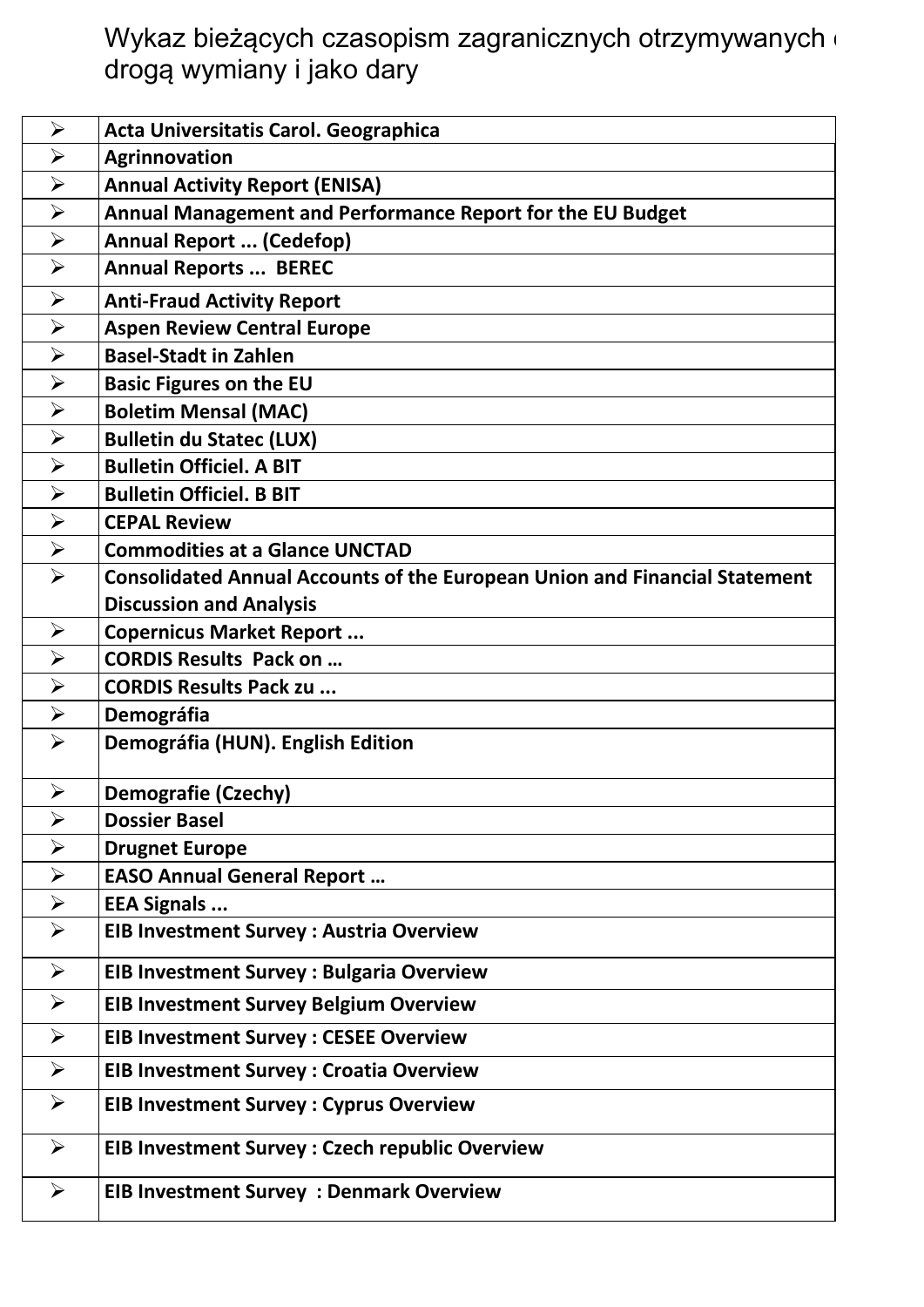Wykaz bieżących czasopism zagranicznych otrzymywanych d drogą wymiany i jako dary

| $\blacktriangleright$ | Acta Universitatis Carol. Geographica                                             |
|-----------------------|-----------------------------------------------------------------------------------|
| $\blacktriangleright$ | <b>Agrinnovation</b>                                                              |
| $\blacktriangleright$ | <b>Annual Activity Report (ENISA)</b>                                             |
| $\blacktriangleright$ | Annual Management and Performance Report for the EU Budget                        |
| $\blacktriangleright$ | <b>Annual Report  (Cedefop)</b>                                                   |
| $\blacktriangleright$ | <b>Annual Reports  BEREC</b>                                                      |
| $\blacktriangleright$ | <b>Anti-Fraud Activity Report</b>                                                 |
| $\blacktriangleright$ | <b>Aspen Review Central Europe</b>                                                |
| $\blacktriangleright$ | <b>Basel-Stadt in Zahlen</b>                                                      |
| $\blacktriangleright$ | <b>Basic Figures on the EU</b>                                                    |
| $\blacktriangleright$ | <b>Boletim Mensal (MAC)</b>                                                       |
| $\blacktriangleright$ | <b>Bulletin du Statec (LUX)</b>                                                   |
| $\blacktriangleright$ | <b>Bulletin Officiel. A BIT</b>                                                   |
| $\blacktriangleright$ | <b>Bulletin Officiel. B BIT</b>                                                   |
| $\blacktriangleright$ | <b>CEPAL Review</b>                                                               |
| $\blacktriangleright$ | <b>Commodities at a Glance UNCTAD</b>                                             |
| $\blacktriangleright$ | <b>Consolidated Annual Accounts of the European Union and Financial Statement</b> |
|                       | <b>Discussion and Analysis</b>                                                    |
| $\blacktriangleright$ | <b>Copernicus Market Report </b>                                                  |
| $\blacktriangleright$ | <b>CORDIS Results Pack on </b>                                                    |
| $\blacktriangleright$ | <b>CORDIS Results Pack zu </b>                                                    |
| $\blacktriangleright$ | <b>Demográfia</b>                                                                 |
| $\blacktriangleright$ | Demográfia (HUN). English Edition                                                 |
|                       |                                                                                   |
| $\blacktriangleright$ | <b>Demografie (Czechy)</b>                                                        |
| $\blacktriangleright$ | <b>Dossier Basel</b>                                                              |
| $\blacktriangleright$ | <b>Drugnet Europe</b>                                                             |
| $\blacktriangleright$ | <b>EASO Annual General Report </b>                                                |
| $\blacktriangleright$ | <b>EEA Signals </b>                                                               |
| $\blacktriangleright$ | <b>EIB Investment Survey: Austria Overview</b>                                    |
| $\blacktriangleright$ | <b>EIB Investment Survey: Bulgaria Overview</b>                                   |
| $\blacktriangleright$ | <b>EIB Investment Survey Belgium Overview</b>                                     |
| $\blacktriangleright$ | <b>EIB Investment Survey: CESEE Overview</b>                                      |
| $\blacktriangleright$ | <b>EIB Investment Survey: Croatia Overview</b>                                    |
| $\blacktriangleright$ | <b>EIB Investment Survey: Cyprus Overview</b>                                     |
| $\blacktriangleright$ | <b>EIB Investment Survey: Czech republic Overview</b>                             |
| $\blacktriangleright$ | <b>EIB Investment Survey : Denmark Overview</b>                                   |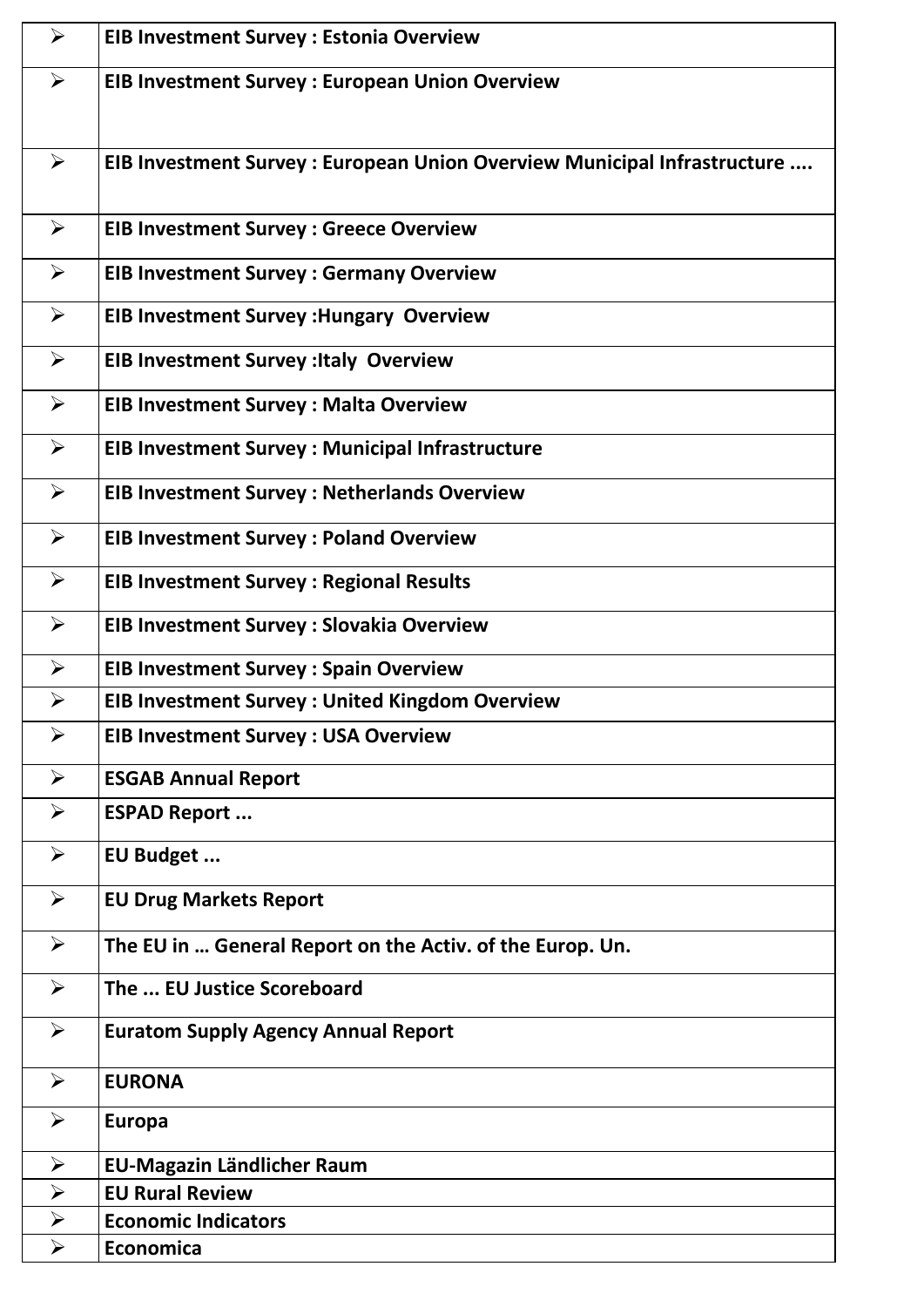| $\blacktriangleright$ | <b>EIB Investment Survey: Estonia Overview</b>                           |
|-----------------------|--------------------------------------------------------------------------|
| $\blacktriangleright$ | <b>EIB Investment Survey: European Union Overview</b>                    |
|                       |                                                                          |
| $\blacktriangleright$ | EIB Investment Survey : European Union Overview Municipal Infrastructure |
|                       |                                                                          |
| $\blacktriangleright$ | <b>EIB Investment Survey: Greece Overview</b>                            |
| $\blacktriangleright$ | <b>EIB Investment Survey: Germany Overview</b>                           |
| $\blacktriangleright$ | <b>EIB Investment Survey : Hungary Overview</b>                          |
| $\blacktriangleright$ | <b>EIB Investment Survey : Italy Overview</b>                            |
| $\blacktriangleright$ | <b>EIB Investment Survey: Malta Overview</b>                             |
| $\blacktriangleright$ | <b>EIB Investment Survey: Municipal Infrastructure</b>                   |
| $\blacktriangleright$ | <b>EIB Investment Survey: Netherlands Overview</b>                       |
| $\blacktriangleright$ | <b>EIB Investment Survey: Poland Overview</b>                            |
| $\blacktriangleright$ | <b>EIB Investment Survey: Regional Results</b>                           |
| $\blacktriangleright$ | <b>EIB Investment Survey : Slovakia Overview</b>                         |
| $\blacktriangleright$ | <b>EIB Investment Survey: Spain Overview</b>                             |
| $\blacktriangleright$ | <b>EIB Investment Survey: United Kingdom Overview</b>                    |
| $\blacktriangleright$ | <b>EIB Investment Survey : USA Overview</b>                              |
| $\blacktriangleright$ | <b>ESGAB Annual Report</b>                                               |
| ➤                     | <b>ESPAD Report </b>                                                     |
| $\blacktriangleright$ | EU Budget                                                                |
| $\blacktriangleright$ | <b>EU Drug Markets Report</b>                                            |
| $\blacktriangleright$ | The EU in  General Report on the Activ. of the Europ. Un.                |
| $\blacktriangleright$ | The  EU Justice Scoreboard                                               |
| $\blacktriangleright$ | <b>Euratom Supply Agency Annual Report</b>                               |
| $\blacktriangleright$ | <b>EURONA</b>                                                            |
| $\blacktriangleright$ | <b>Europa</b>                                                            |
| $\blacktriangleright$ | <b>EU-Magazin Ländlicher Raum</b>                                        |
| $\blacktriangleright$ | <b>EU Rural Review</b>                                                   |
| $\blacktriangleright$ | <b>Economic Indicators</b>                                               |
| $\blacktriangleright$ | <b>Economica</b>                                                         |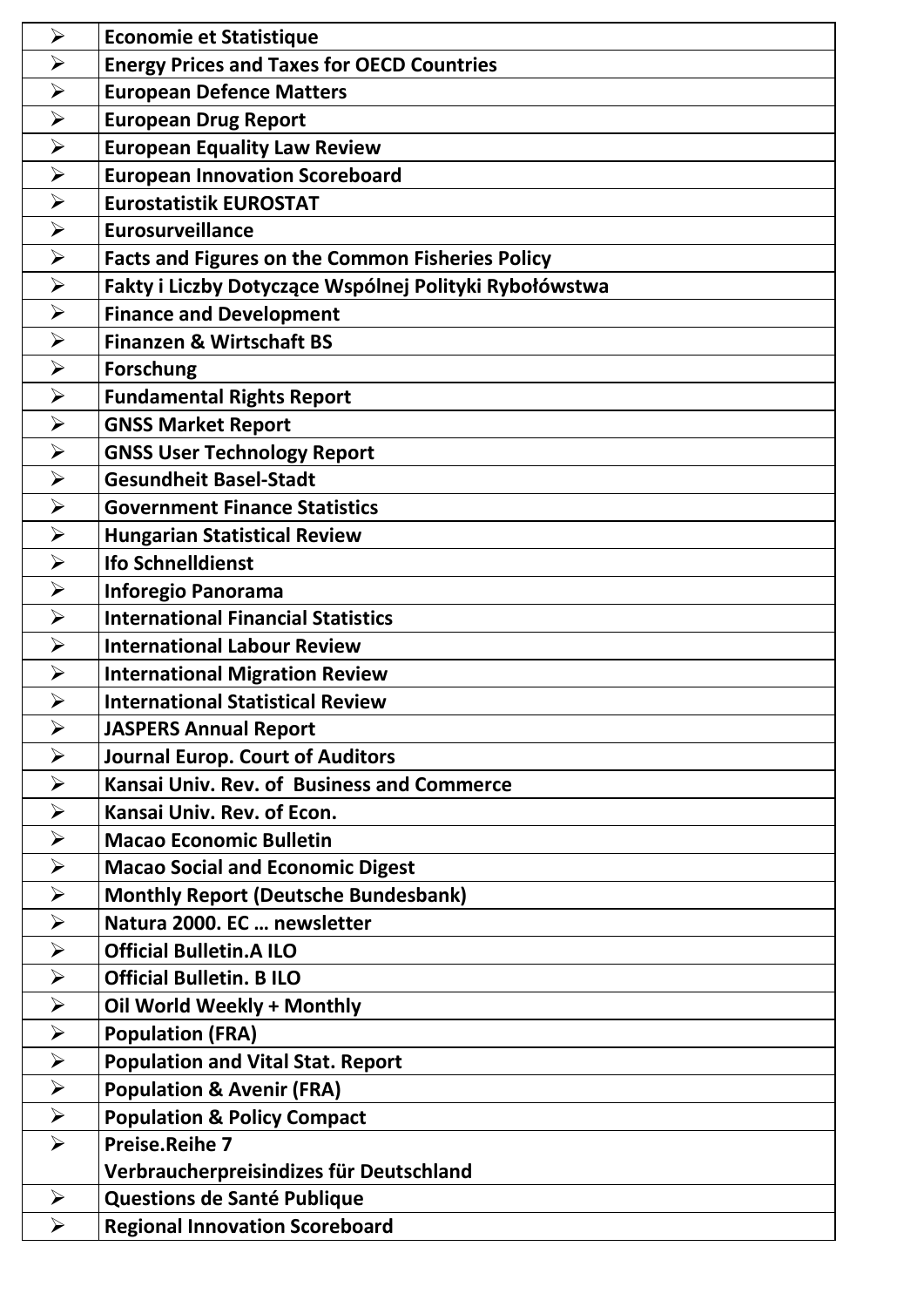| $\blacktriangleright$ | <b>Economie et Statistique</b>                          |
|-----------------------|---------------------------------------------------------|
| $\blacktriangleright$ | <b>Energy Prices and Taxes for OECD Countries</b>       |
| $\blacktriangleright$ | <b>European Defence Matters</b>                         |
| $\blacktriangleright$ | <b>European Drug Report</b>                             |
| $\blacktriangleright$ | <b>European Equality Law Review</b>                     |
| $\blacktriangleright$ | <b>European Innovation Scoreboard</b>                   |
| $\blacktriangleright$ | <b>Eurostatistik EUROSTAT</b>                           |
| $\blacktriangleright$ | <b>Eurosurveillance</b>                                 |
| $\blacktriangleright$ | <b>Facts and Figures on the Common Fisheries Policy</b> |
| $\blacktriangleright$ | Fakty i Liczby Dotyczące Wspólnej Polityki Rybołówstwa  |
| $\blacktriangleright$ | <b>Finance and Development</b>                          |
| $\blacktriangleright$ | <b>Finanzen &amp; Wirtschaft BS</b>                     |
| $\blacktriangleright$ | <b>Forschung</b>                                        |
| $\blacktriangleright$ | <b>Fundamental Rights Report</b>                        |
| $\blacktriangleright$ | <b>GNSS Market Report</b>                               |
| $\blacktriangleright$ | <b>GNSS User Technology Report</b>                      |
| $\blacktriangleright$ | <b>Gesundheit Basel-Stadt</b>                           |
| $\blacktriangleright$ | <b>Government Finance Statistics</b>                    |
| $\blacktriangleright$ | <b>Hungarian Statistical Review</b>                     |
| $\blacktriangleright$ | <b>Ifo Schnelldienst</b>                                |
| $\blacktriangleright$ | <b>Inforegio Panorama</b>                               |
| $\blacktriangleright$ | <b>International Financial Statistics</b>               |
| $\blacktriangleright$ | <b>International Labour Review</b>                      |
| $\blacktriangleright$ | <b>International Migration Review</b>                   |
| $\blacktriangleright$ | <b>International Statistical Review</b>                 |
| $\blacktriangleright$ | <b>JASPERS Annual Report</b>                            |
| $\blacktriangleright$ | <b>Journal Europ. Court of Auditors</b>                 |
| $\blacktriangleright$ | Kansai Univ. Rev. of Business and Commerce              |
| $\blacktriangleright$ | Kansai Univ. Rev. of Econ.                              |
| $\blacktriangleright$ | <b>Macao Economic Bulletin</b>                          |
| $\blacktriangleright$ | <b>Macao Social and Economic Digest</b>                 |
| $\blacktriangleright$ | <b>Monthly Report (Deutsche Bundesbank)</b>             |
| $\blacktriangleright$ | Natura 2000. EC  newsletter                             |
| $\blacktriangleright$ | <b>Official Bulletin.A ILO</b>                          |
| $\blacktriangleright$ | <b>Official Bulletin. B ILO</b>                         |
| $\blacktriangleright$ | Oil World Weekly + Monthly                              |
| $\blacktriangleright$ | <b>Population (FRA)</b>                                 |
| $\blacktriangleright$ | <b>Population and Vital Stat. Report</b>                |
| $\blacktriangleright$ | <b>Population &amp; Avenir (FRA)</b>                    |
| $\blacktriangleright$ | <b>Population &amp; Policy Compact</b>                  |
| $\blacktriangleright$ | <b>Preise.Reihe 7</b>                                   |
|                       | Verbraucherpreisindizes für Deutschland                 |
| $\blacktriangleright$ | Questions de Santé Publique                             |
| $\blacktriangleright$ | <b>Regional Innovation Scoreboard</b>                   |